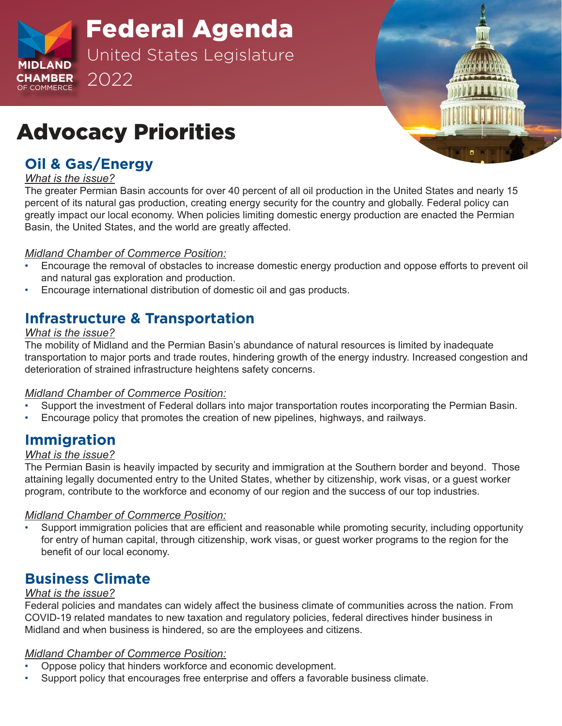

Federal Agenda United States Legislature 2022



# Advocacy Priorities

## **Oil & Gas/Energy**

#### *What is the issue?*

The greater Permian Basin accounts for over 40 percent of all oil production in the United States and nearly 15 percent of its natural gas production, creating energy security for the country and globally. Federal policy can greatly impact our local economy. When policies limiting domestic energy production are enacted the Permian Basin, the United States, and the world are greatly affected.

#### *Midland Chamber of Commerce Position:*

- Encourage the removal of obstacles to increase domestic energy production and oppose efforts to prevent oil and natural gas exploration and production.
- Encourage international distribution of domestic oil and gas products.

## **Infrastructure & Transportation**

#### *What is the issue?*

The mobility of Midland and the Permian Basin's abundance of natural resources is limited by inadequate transportation to major ports and trade routes, hindering growth of the energy industry. Increased congestion and deterioration of strained infrastructure heightens safety concerns.

#### *Midland Chamber of Commerce Position:*

- Support the investment of Federal dollars into major transportation routes incorporating the Permian Basin.
- Encourage policy that promotes the creation of new pipelines, highways, and railways.

## **Immigration**

#### *What is the issue?*

The Permian Basin is heavily impacted by security and immigration at the Southern border and beyond. Those attaining legally documented entry to the United States, whether by citizenship, work visas, or a guest worker program, contribute to the workforce and economy of our region and the success of our top industries.

#### *Midland Chamber of Commerce Position:*

• Support immigration policies that are efficient and reasonable while promoting security, including opportunity for entry of human capital, through citizenship, work visas, or guest worker programs to the region for the benefit of our local economy.

## **Business Climate**

#### *What is the issue?*

Federal policies and mandates can widely affect the business climate of communities across the nation. From COVID-19 related mandates to new taxation and regulatory policies, federal directives hinder business in Midland and when business is hindered, so are the employees and citizens.

#### *Midland Chamber of Commerce Position:*

- Oppose policy that hinders workforce and economic development.
- Support policy that encourages free enterprise and offers a favorable business climate.